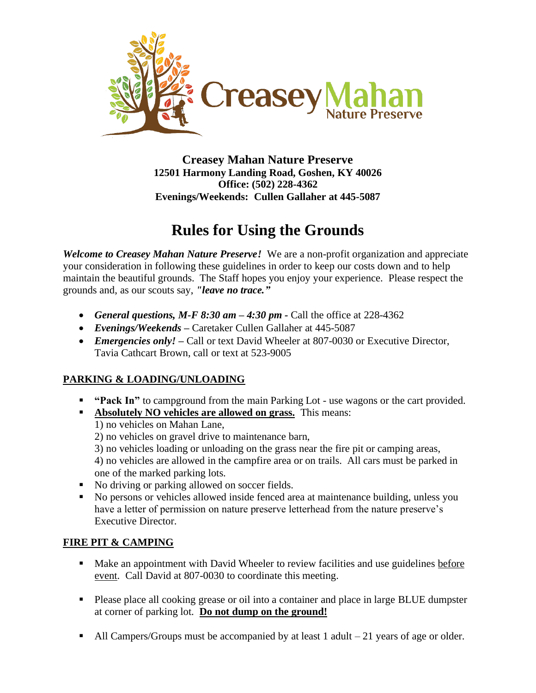

**Creasey Mahan Nature Preserve 12501 Harmony Landing Road, Goshen, KY 40026 Office: (502) 228-4362 Evenings/Weekends: Cullen Gallaher at 445-5087**

## **Rules for Using the Grounds**

*Welcome to Creasey Mahan Nature Preserve!* We are a non-profit organization and appreciate your consideration in following these guidelines in order to keep our costs down and to help maintain the beautiful grounds. The Staff hopes you enjoy your experience. Please respect the grounds and, as our scouts say, *"leave no trace."*

- *General questions, M-F 8:30 am – 4:30 pm -* Call the office at 228-4362
- *Evenings/Weekends –* Caretaker Cullen Gallaher at 445-5087
- *Emergencies only!* Call or text David Wheeler at 807-0030 or Executive Director, Tavia Cathcart Brown, call or text at 523-9005

## **PARKING & LOADING/UNLOADING**

- **"Pack In"** to campground from the main Parking Lot use wagons or the cart provided.
- **Absolutely NO vehicles are allowed on grass.** This means:

1) no vehicles on Mahan Lane,

- 2) no vehicles on gravel drive to maintenance barn,
- 3) no vehicles loading or unloading on the grass near the fire pit or camping areas,

4) no vehicles are allowed in the campfire area or on trails. All cars must be parked in one of the marked parking lots.

- No driving or parking allowed on soccer fields.
- No persons or vehicles allowed inside fenced area at maintenance building, unless you have a letter of permission on nature preserve letterhead from the nature preserve's Executive Director.

## **FIRE PIT & CAMPING**

- Make an appointment with David Wheeler to review facilities and use guidelines before event. Call David at 807-0030 to coordinate this meeting.
- Please place all cooking grease or oil into a container and place in large BLUE dumpster at corner of parking lot. **Do not dump on the ground!**
- $\blacksquare$  All Campers/Groups must be accompanied by at least 1 adult  $-21$  years of age or older.